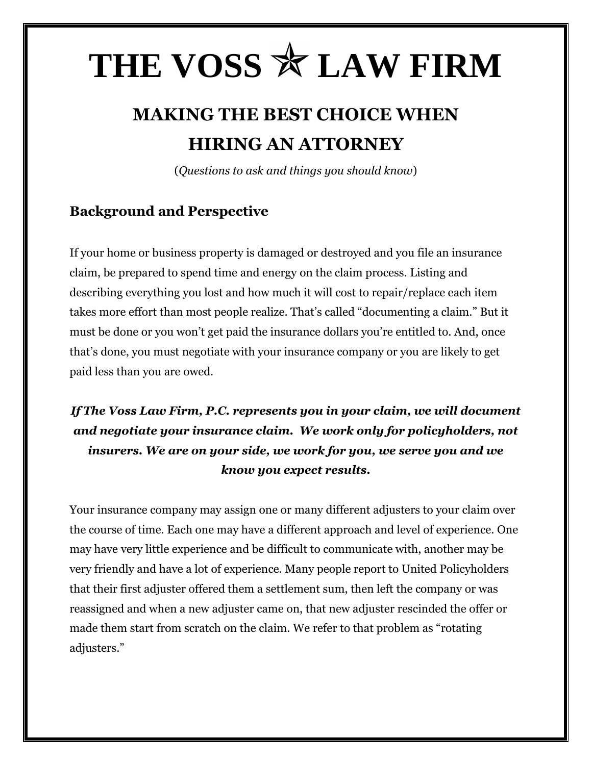# THE VOSS  $*$  LAW FIRM

# **MAKING THE BEST CHOICE WHEN HIRING AN ATTORNEY**

(*Questions to ask and things you should know*)

### **Background and Perspective**

If your home or business property is damaged or destroyed and you file an insurance claim, be prepared to spend time and energy on the claim process. Listing and describing everything you lost and how much it will cost to repair/replace each item takes more effort than most people realize. That's called "documenting a claim." But it must be done or you won't get paid the insurance dollars you're entitled to. And, once that's done, you must negotiate with your insurance company or you are likely to get paid less than you are owed.

## *If The Voss Law Firm, P.C. represents you in your claim, we will document and negotiate your insurance claim. We work only for policyholders, not insurers. We are on your side, we work for you, we serve you and we know you expect results.*

Your insurance company may assign one or many different adjusters to your claim over the course of time. Each one may have a different approach and level of experience. One may have very little experience and be difficult to communicate with, another may be very friendly and have a lot of experience. Many people report to United Policyholders that their first adjuster offered them a settlement sum, then left the company or was reassigned and when a new adjuster came on, that new adjuster rescinded the offer or made them start from scratch on the claim. We refer to that problem as "rotating adjusters."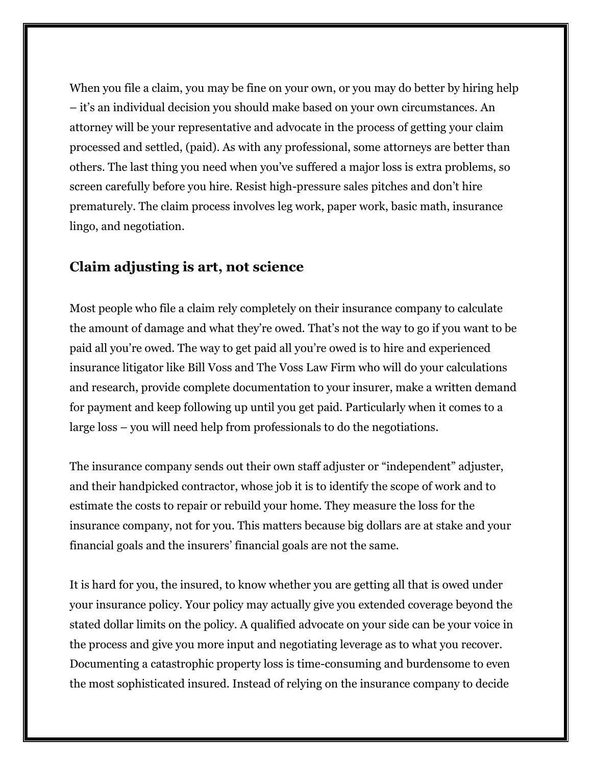When you file a claim, you may be fine on your own, or you may do better by hiring help – it's an individual decision you should make based on your own circumstances. An attorney will be your representative and advocate in the process of getting your claim processed and settled, (paid). As with any professional, some attorneys are better than others. The last thing you need when you've suffered a major loss is extra problems, so screen carefully before you hire. Resist high-pressure sales pitches and don't hire prematurely. The claim process involves leg work, paper work, basic math, insurance lingo, and negotiation.

#### **Claim adjusting is art, not science**

Most people who file a claim rely completely on their insurance company to calculate the amount of damage and what they're owed. That's not the way to go if you want to be paid all you're owed. The way to get paid all you're owed is to hire and experienced insurance litigator like Bill Voss and The Voss Law Firm who will do your calculations and research, provide complete documentation to your insurer, make a written demand for payment and keep following up until you get paid. Particularly when it comes to a large loss – you will need help from professionals to do the negotiations.

The insurance company sends out their own staff adjuster or "independent" adjuster, and their handpicked contractor, whose job it is to identify the scope of work and to estimate the costs to repair or rebuild your home. They measure the loss for the insurance company, not for you. This matters because big dollars are at stake and your financial goals and the insurers' financial goals are not the same.

It is hard for you, the insured, to know whether you are getting all that is owed under your insurance policy. Your policy may actually give you extended coverage beyond the stated dollar limits on the policy. A qualified advocate on your side can be your voice in the process and give you more input and negotiating leverage as to what you recover. Documenting a catastrophic property loss is time-consuming and burdensome to even the most sophisticated insured. Instead of relying on the insurance company to decide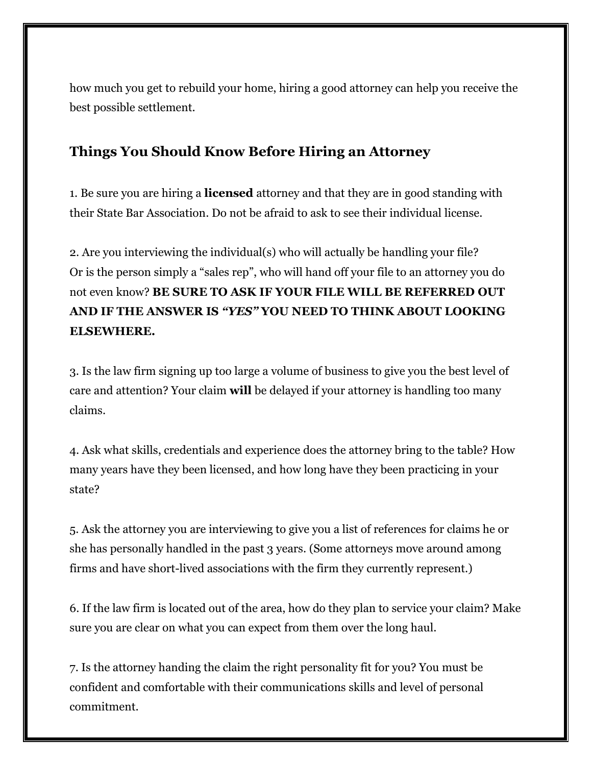how much you get to rebuild your home, hiring a good attorney can help you receive the best possible settlement.

#### **Things You Should Know Before Hiring an Attorney**

1. Be sure you are hiring a **licensed** attorney and that they are in good standing with their State Bar Association. Do not be afraid to ask to see their individual license.

2. Are you interviewing the individual(s) who will actually be handling your file? Or is the person simply a "sales rep", who will hand off your file to an attorney you do not even know? **BE SURE TO ASK IF YOUR FILE WILL BE REFERRED OUT AND IF THE ANSWER IS** *"YES"* **YOU NEED TO THINK ABOUT LOOKING ELSEWHERE.**

3. Is the law firm signing up too large a volume of business to give you the best level of care and attention? Your claim **will** be delayed if your attorney is handling too many claims.

4. Ask what skills, credentials and experience does the attorney bring to the table? How many years have they been licensed, and how long have they been practicing in your state?

5. Ask the attorney you are interviewing to give you a list of references for claims he or she has personally handled in the past 3 years. (Some attorneys move around among firms and have short-lived associations with the firm they currently represent.)

6. If the law firm is located out of the area, how do they plan to service your claim? Make sure you are clear on what you can expect from them over the long haul.

7. Is the attorney handing the claim the right personality fit for you? You must be confident and comfortable with their communications skills and level of personal commitment.